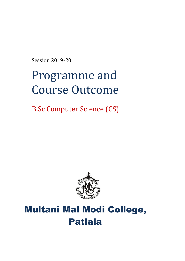Session 2019-20

# Programme and Course Outcome

B.Sc Computer Science (CS)



## Multani Mal Modi College, Patiala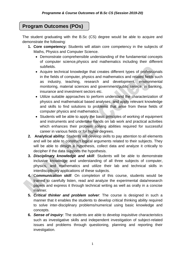## **Program Outcomes (POs)**

The student graduating with the B.Sc (CS) degree would be able to acquire and demonstrate the following:

- **1. Core competency:** Students will attain core competency in the subjects of Maths, Physics and Computer Science.
	- Demonstrate comprehensible understanding of the fundamental concepts of computer science,physics and mathematics including their different subfields.
	- Acquire technical knowledge that creates different types of professionals in the fields of computer, physics and mathematics and related fields such as industry, teaching, research and development, environmental monitoring, material sciences and government/public service, in banking, insurance and investment sectors etc.
	- Utilize suitable approaches to perform understand the characterization of physics and mathematical based analyses; and apply relevant knowledge and skills to find solutions to problems that arise from these fields of computer physics and mathematics.
	- Students will be able to apply the basic principles of working of equipment and instruments and undertake hands on lab work and practical activities which enhances their problem solving abilities required for successful career in various fields or for higher degrees.
- **2. Analytical ability:** Students will develop skills to pay attention to all elements and will be able to construct logical arguments related to their subjects. They will be able to design a hypothesis, collect data and analyze it critically to decipher if the data supports the hypothesis.
- **3.** *Disciplinary knowledge and skill*: Students will be able to demonstrate inclusive knowledge and understanding of all three subjects of computer, physics, and mathematics and utilize their lab and technical skills in interdisciplinary applications of these subjects.
- **4.** C*ommunication skill*: On completion of this course, students would be trained to carefully listen, read and analyze the experimental data/research papers and express it through technical writing as well as orally in a concise manner.
- **5.** *Critical thinker and problem solver*: The course is designed in such a manner that it enables the students to develop critical thinking ability required to solve inter-disciplinary problems/numerical using basic knowledge and concepts.
- **6.** *Sense of inquiry*: The students are able to develop inquisitive characteristics such as investigative skills and independent investigation of subject-related issues and problems through questioning, planning and reporting their investigation.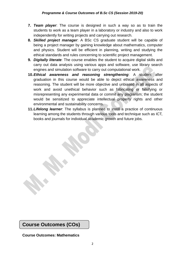- **7.** *Team player*: The course is designed in such a way so as to train the students to work as a team player in a laboratory or industry and also to work independently for writing projects and carrying out research.
- **8.** *Skilled project manager*: A BSc CS graduate student will be capable of being a project manager by gaining knowledge about mathematics, computer and physics. Student will be efficient in planning, writing and studying the ethical standards and rules concerning to scientific project management.
- **9.** *Digitally literate*: The course enables the student to acquire digital skills and carry out data analysis using various apps and software, use library search engines and simulation software to carry out computational work.
- **10.***Ethical awareness and reasoning strengthening*: A student after graduation in this course would be able to depict ethical awareness and reasoning. The student will be more objective and unbiased in all aspects of work and avoid unethical behavior such as fabricating or falsifying or misrepresenting any experimental data or commit any plagiarism; the student would be sensitized to appreciate intellectual property rights and other environmental and sustainability concerns.
- **11.***Lifelong learner*: The syllabus is planned to instill a practice of continuous learning among the students through various tools and technique such as ICT, books and journals for individual academic growth and future jobs.

**Course Outcomes (COs)**

**Course Outcomes: Mathematics**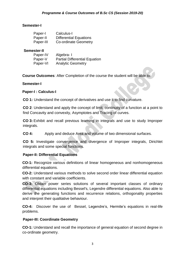#### **Semester-I**

| Paper-I   | Calculus-I                    |
|-----------|-------------------------------|
| Paper-II  | <b>Differential Equations</b> |
| Paper-III | <b>Co-ordinate Geometry</b>   |

#### **Semester-II**

| Paper-IV | Algebra-I                            |
|----------|--------------------------------------|
| Paper-V  | <b>Partial Differential Equation</b> |
| Paper-VI | <b>Analytic Geometry</b>             |

**Course Outcomes**: After Completion of the course the student will be able to:

#### **Semester-I**

#### **Paper-I : Calculus-I**

**CO 1:** Understand the concept of derivatives and use it to find curvature.

**CO 2**: Understand and apply the concept of limit, continuity of a function at a point to find Concavity and convexity, Asymptotes and Tracing of curves.

**CO 3:** Exhibit and recall previous learning in integrals and use to study Improper integrals.

**CO 4:** Apply and deduce Area and volume of two dimensional surfaces.

**CO 5:** Investigate convergence and divergence of Improper integrals, Dirichlet integrals and some special functions.

#### **Paper-II: Differential Equations**

**CO-1:** Recognize various definitions of linear homogeneous and nonhomogeneous differential equations.

**CO-2:** Understand various methods to solve second order linear differential equation with constant and variable coefficients.

**CO-3:** Obtain power series solutions of several important classes of ordinary differential equations including Bessel's, Legendre differential equations. Also able to derive the generating functions and recurrence relations, orthogonality properties and interpret their qualitative behaviour.

**CO-4:** Discover the use of Bessel, Legendre's, Hermite's equations in real-life problems.

#### **Paper-III: Coordinate Geometry**

**CO-1:** Understand and recall the importance of general equation of second degree in co-ordinate geometry.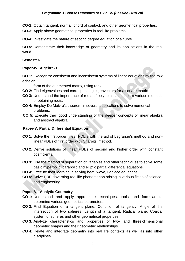**CO-2:** Obtain tangent, normal, chord of contact, and other geometrical properties.

**CO-3:** Apply above geometrical properties in real-life problems

**CO-4:** Investigate the nature of second degree equation of a curve.

**CO 5:** Demonstrate their knowledge of geometry and its applications in the real world.

#### **Semester-II**

#### **Paper-IV: Algebra- I**

**CO 1:** Recognize consistent and inconsistent systems of linear equations by the row echelon

form of the augmented matrix, using rank.

- **CO 2:** Find eigenvalues and corresponding eigenvectors for a square matrix
- **CO 3:** Understand the importance of roots of polynomials and learn various methods of obtaining roots.
- **CO 4:** Employ De Moivre's theorem in several applications to solve numerical problems.
- **CO 5**: Execute their good understanding of the deeper concepts of linear algebra and abstract algebra.

#### **Paper-V: Partial Differential Equation**

- **CO 1:** Solve the first-order linear PDE's with the aid of Lagrange's method and nonlinear PDEs of first order with Charpits' method.
- **CO 2:** Derive solutions of linear PDEs of second and higher order with constant coefficients.
- **CO 3:** Use the method of separation of variables and other techniques to solve some basic hyperbolic, parabolic and elliptic partial differential equations.
- **CO 4:** Execute their learning in solving heat, wave, Laplace equations.
- **CO 5**: Solve PDE governing real life phenomenon arising in various fields of science and engineering.

#### **Paper-VI: Analytic Geometry**

- **CO 1:** Understand and apply appropriate techniques, tools, and formulae to determine various geometrical parameters.
- **CO 2:** Find Equation of a tangent plane, Condition of tangency, Angle of the intersection of two spheres, Length of a tangent, Radical plane, Coaxial system of spheres and other geometrical properties
- **CO 3:** Analyze characteristics and properties of two- and three-dimensional geometric shapes and their geometric relationships.
- **CO 4:** Relate and integrate geometry into real life contexts as well as into other disciplines.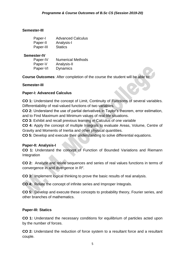#### **Semester-III**

| Paper-I   | <b>Advanced Calculus</b> |
|-----------|--------------------------|
| Paper-II  | Analysis-I               |
| Paper-III | <b>Statics</b>           |

#### **Semester-IV**

| Paper-IV | <b>Numerical Methods</b> |
|----------|--------------------------|
| Paper-V  | Analysis-II              |
| Paper-VI | <b>Dynamics</b>          |

**Course Outcomes**: After completion of the course the student will be able to:

#### **Semester-III**

#### **Paper-I: Advanced Calculus**

**CO 1:** Understand the concept of Limit, Continuity of Functions of several variables. Differentiability of real-valued functions of two variables.

**CO 2:** Understand the use of partial derivatives in Taylor's theorem, error estimation, and to Find Maximum and Minimum values of real-life situations.

**CO 3:** Exhibit and recall previous learning in Calculus of one variable

**CO 4:** Apply the concept of multiple Integrals to evaluate Areas, Volume, Centre of Gravity and Moments of Inertia and other physical quantities.

**CO 5:** Develop and execute their understanding to solve differential equations.

#### **Paper-II: Analysis-I**

**CO 1:** Understand the concept of Function of Bounded Variations and Riemann Integration

**CO 2:** Analyze and relate sequences and series of real values functions in terms of convergence in and divergence in  $\mathsf{R}^2$ .

**CO 3:** Implement logical thinking to prove the basic results of real analysis.

**CO 4:** Relate the concept of infinite series and Improper Integrals.

**CO 5:** Develop and execute these concepts to probability theory, Fourier series, and other branches of mathematics.

#### **Paper-III: Statics**

**CO 1:** Understand the necessary conditions for equilibrium of particles acted upon by the number of forces.

**CO 2:** Understand the reduction of force system to a resultant force and a resultant couple.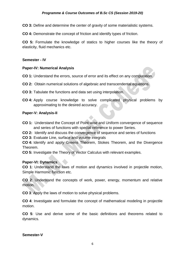**CO 3:** Define and determine the center of gravity of some materialistic systems.

**CO 4:** Demonstrate the concept of friction and identify types of friction.

**CO 5:** Formulate the knowledge of statics to higher courses like the theory of elasticity, fluid mechanics etc.

#### **Semester - IV**

#### **Paper-IV: Numerical Analysis**

- **CO 1:** Understand the errors, source of error and its effect on any computation.
- **CO 2:** Obtain numerical solutions of algebraic and transcendental equations.
- **CO 3:** Tabulate the functions and data set using interpolation.
- **CO 4:** Apply course knowledge to solve complicated physical problems by approximating to the desired accuracy.

#### **Paper-V: Analysis-II**

- **CO 1:** Understand the Concept of Point-wise and Uniform convergence of sequence and series of functions with special reference to power Series.
- **CO 2:** Identify and discuss the convergence of sequence and series of functions
- **CO 3:** Evaluate Line, surface and volume integrals

**CO 4:** Identify and apply Greens Theorem, Stokes Theorem, and the Divergence Theorem.

**CO 5:** Investigate the Theory of Vector Calculus with relevant examples.

#### **Paper-VI: Dynamics**

**CO 1**: Understand the laws of motion and dynamics involved in projectile motion, Simple Harmonic function etc.

**CO 2**: Understand the concepts of work, power, energy, momentum and relative motion.

**CO 3**: Apply the laws of motion to solve physical problems.

**CO 4**: Investigate and formulate the concept of mathematical modeling in projectile motion.

**CO 5**: Use and derive some of the basic definitions and theorems related to dynamics.

#### **Semester-V**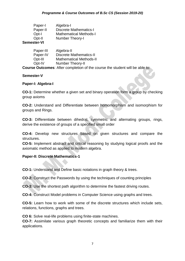| Paper-I     | Algebra-I                     |
|-------------|-------------------------------|
| Paper-II    | <b>Discrete Mathematics-I</b> |
| Opt-I       | <b>Mathematical Methods-I</b> |
| Opt-II      | Number Theory-I               |
| Semester-VI |                               |

#### Paper-III Algebra-II Paper-IV Discrete Mathematics-II Opt-III Mathematical Methods-II Opt-IV Number Theory-II

**Course Outcomes**: After completion of the course the student will be able to:

#### **Semester-V**

#### **Paper-I: Algebra-I**

**CO-1:** Determine whether a given set and binary operation form a group by checking group axioms

**CO-2:** Understand and Differentiate between homomorphism and isomorphism for groups and Rings.

**CO-3:** Differentiate between dihedral, symmetric and alternating groups, rings, derive the existence of groups of a specified small order

**CO-4:** Develop new structures based on given structures and compare the structures.

**CO-5:** Implement abstract and critical reasoning by studying logical proofs and the axiomatic method as applied to modern algebra.

#### **Paper-II: Discrete Mathematics-1**

**CO-1:** Understand and Define basic notations in graph theory & trees.

**CO-2:** Construct the Passwords by using the techniques of counting principles

**CO-3:** Use the shortest path algorithm to determine the fastest driving routes.

**CO-4:** Construct Model problems in Computer Science using graphs and trees.

**CO-5:** Learn how to work with some of the discrete structures which include sets, relations, functions, graphs and trees.

**CO 6:** Solve real-life problems using finite-state machines.

**CO-7:** Assimilate various graph theoretic concepts and familiarize them with their applications.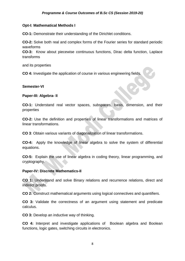#### **Opt-I: Mathematical Methods I**

**CO-1:** Demonstrate their understanding of the Dirichlet conditions.

**CO-2:** Solve both real and complex forms of the Fourier series for standard periodic waveforms

**CO-3:** Know about piecewise continuous functions, Dirac delta function, Laplace transforms

and its properties

**CO 4:** Investigate the application of course in various engineering fields.

#### **Semester-VI**

#### **Paper-III: Algebra- II**

**CO-1:** Understand real vector spaces, subspaces, basis, dimension, and their properties

**CO-2:** Use the definition and properties of linear transformations and matrices of linear transformations.

**CO 3**: Obtain various variants of diagonalization of linear transformations.

**CO-4:** Apply the knowledge of linear algebra to solve the system of differential equations.

**CO-5:** Explain the use of linear algebra in coding theory, linear programming, and cryptography.

#### **Paper-IV: Discrete Mathematics-II**

**CO 1:** Understand and solve Binary relations and recurrence relations, direct and indirect proofs.

**CO 2:** Construct mathematical arguments using logical connectives and quantifiers.

**CO 3:** Validate the correctness of an argument using statement and predicate calculus.

**CO 3:** Develop an inductive way of thinking.

**CO 4:** Interpret and investigate applications of Boolean algebra and Boolean functions, logic gates, switching circuits in electronics.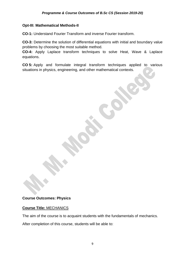#### **Opt-III: Mathematical Methods-II**

**CO-1:** Understand Fourier Transform and inverse Fourier transform.

**CO-3:** Determine the solution of differential equations with initial and boundary value problems by choosing the most suitable method.

**CO-4:** Apply Laplace transform techniques to solve Heat, Wave & Laplace equations.

**CO 5:** Apply and formulate integral transform techniques applied to various situations in physics, engineering, and other mathematical contexts.

#### **Course Outcomes: Physics**

#### **Course Title:** MECHANICS

The aim of the course is to acquaint students with the fundamentals of mechanics.

After completion of this course, students will be able to: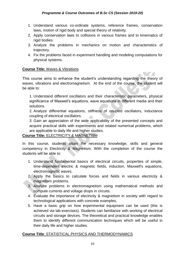- 1. Understand various co-ordinate systems, reference frames, conservation laws, motion of rigid body and special theory of relativity.
- 2. Apply conservation laws to collisions in various frames and to kinematics of rigid bodies.
- 3. Analyze the problems in mechanics on motion and characteristics of trajectory.
- 4. Fix the problems faced in experiment handling and modeling computations for physical systems.

#### **Course Title:** Waves & Vibrations

This course aims to enhance the student's understanding regarding the theory of waves, vibrations and electromagnetism. At the end of the course, the student will be able to:

1. Understand different oscillators and their characteristic parameters, physical significance of Maxwell's equations, wave equations in different media and their solutions.

2. Analyze differential equations, stiffness of coupled oscillators, inductance coupling of electrical oscillators.

3. Gain an appreciation of the wide applicability of the presented concepts and acquire practical skills with experiments and related numerical problems, which are applicable to daily life and higher studies.

#### **Course Title:** ELECTRICITY & MAGNETISM

In this course, students attain the necessary knowledge, skills and general competency in Electricity & Magnetism. With the completion of the course the students will be able to:

- 1. Understand fundamental basics of electrical circuits, properties of simple, time-dependent electric & magnetic fields, induction, Maxwell's equations, electromagnetic waves.
- 2. Apply the basics to calculate forces and fields in various electricity & magnetism problems.
- 3. Analyze problems in electromagnetism using mathematical methods and compute currents and voltage drops in circuits.
- 4. Evaluate the importance of electricity & magnetism in society with regard to technological applications with concrete examples.
- 5. Have a basic grip on how experimental equipment can be used (this is achieved via lab-exercises). Students can familiarize with working of electrical circuits and storage devices. The theoretical and practical knowledge enables them to identify different communication techniques which will be useful in their daily life and higher studies.

#### **Course Title**: STATISTICAL PHYSICS AND THERMODYNAMICS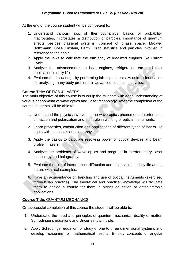At the end of the course student will be competent to:

- 1. Understand various laws of thermodynamics, basics of probability, macrostates, microstates & distribution of particles, importance of quantum effects besides classical systems, concept of phase space, Maxwell Boltzmann, Bose Einstein, Fermi Dirac statistics and particles involved in reference to their spin.
- 2. Apply the laws to calculate the efficiency of idealized engines like Carnot Cycle.
- 3. Analyze the advancements in heat engines, refrigeration etc. and their application in daily life.
- 4. Evaluate the knowledge by performing lab experiments. Acquire a foundation for analyzing many body problems in advanced courses in physics.

#### **Course Title:** OPTICS & LASERS

The main objective of this course is to equip the students with deep understanding of various phenomena of wave optics and Laser technology. After the completion of the course, students will be able to:

- 1. Understand the physics involved in the wave optics phenomena: Interference, diffraction and polarization and their role in working of optical instruments.
- 2. Learn properties, construction and applications of different types of lasers. To equip with the basics of holography.
- 3. Apply the basics to calculate resolving power of optical devices and beam profile in lasers.
- 4. Analyze the problems of wave optics and progress in interferometry, laser technology and holography.
- 5. Evaluate the role of interference, diffraction and polarization in daily life and in nature with real examples.
- 6. Have an acquaintance on handling and use of optical instruments (exercised through lab practice). The theoretical and practical knowledge will facilitate them to decide a course for them in higher education or optoelectronic applications.

#### **Course Title:** QUANTUM MECHANICS

On successful completion of this course the student will be able to:

- 1. Understand the need and principles of quantum mechanics, duality of matter, Schrödinger's equations and Uncertainty principle.
- 2. Apply Schrödinger equation for study of one to three dimensional systems and develop reasoning for mathematical results. Employ concepts of angular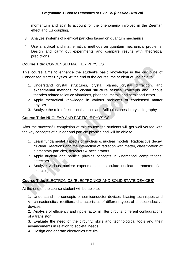momentum and spin to account for the phenomena involved in the Zeeman effect and LS coupling,

- 3. Analyze systems of identical particles based on quantum mechanics.
- 4. Use analytical and mathematical methods on quantum mechanical problems. Design and carry out experiments and compare results with theoretical predictions.

#### **Course Title:** CONDENSED MATTER PHYSICS

This course aims to enhance the student's basic knowledge in the discipline of Condensed Matter Physics. At the end of the course, the student will be able to:

- 1. Understand crystal structures, crystal planes, crystal diffraction, and experimental methods for crystal structure studies, concepts and various theories related to lattice vibrations, phonons, metals and semiconductors.
- 2. Apply theoretical knowledge in various problems of condensed matter physics.
- 3. Analyze the role of reciprocal lattices and Brillouin zones in crystallography.

#### **Course Title:** NUCLEAR AND PARTICLE PHYSICS

After the successful completion of this course the students will get well versed with the key concepts of nuclear and particle physics and will be able to

- 1. Learn fundamental aspects of nucleus & nuclear models, Radioactive decay, Nuclear Reactions and the interaction of radiation with matter, classification of elementary particles, detectors & accelerators.
- 2. Apply nuclear and particle physics concepts in kinematical computations, detectors.
- 3. Analyze various nuclear experiments to calculate nuclear parameters (lab exercise).

#### **Course Title:** ELECTRONICS (ELECTRONICS AND SOLID STATE DEVICES)

At the end of the course student will be able to:

1. Understand the concepts of semiconductor devices, biasing techniques and V-I characteristics, rectifiers, characteristics of different types of photoconductive devices.

2. Analysis of efficiency and ripple factor in filter circuits, different configurations of a transistor.

3. Evaluate the need of the circuitry, skills and technological tools and their advancements in relation to societal needs.

4. Design and operate electronics circuits.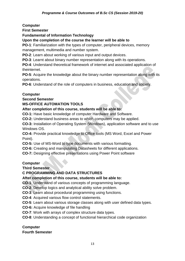**Computer**

**First Semester**

**Fundamental of Information Technology**

**Upon the completion of the course the learner will be able to**

**PO-1**: Familiarization with the types of computer, peripheral devices, memory management, multimedia and number system.

**PO-2**: Learn about working of various input and output devices.

**PO-3**: Learnt about binary number representation along with its operations.

**PO-4**: Understand theoretical framework of internet and associated application of theinternet.

**PO-5**: Acquire the knowledge about the binary number representation along with its operations.

**PO-6**: Understand of the role of computers in business, education and society.

#### **Computer**

**Second Semester**

#### **MS-OFFICE AUTOMATION TOOLS**

#### **After completion of this course, students will be able to:**

**CO-1:** Have basic knowledge of computer Hardware and Software.

**CO-2:** Understand business areas to which computers may be applied.

**CO-3:** Installation of Operating System (Windows), application software and to use Windows OS.

**CO-4:** Provide practical knowledge to Office tools (MS Word, Excel and Power Point).

**CO-5:** Use of MS-Word to type documents with various formatting.

**CO-6:** Creating and manipulating Datasheets for different applications.

**CO-7:** Designing effective presentations using Power Point software

#### **Computer**

**Third Semester**

#### **C PROGRAMMING AND DATA STRUCTURES**

#### **After completion of this course, students will be able to:**

**CO-1**: Understand of various concepts of programming language.

**CO-2**: Develop logics and analytical ability solve problem.

**CO-3**: Learn about procedural programming using functions.

**CO-4**: Acquired various flow control statements.

**CO-5**: Learn about various storage classes along with user defined data types.

**CO-6:** Acquire knowledge of file handling

**CO-7**: Work with arrays of complex structure data types.

**CO-8**: Understanding a concept of functional hierarchical code organization

#### **Computer Fourth Semester**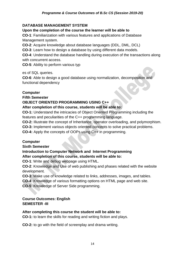#### **DATABASE MANAGEMENT SYSTEM**

#### **Upon the completion of the course the learner will be able to**

**CO-1**: Familiarization with various features and applications of Database Management system.

**CO-2**: Acquire knowledge about database languages (DDL, DML, DCL)

**CO-3**: Learn how to design a database by using different data models.

**CO-4**: Understand the database handling during execution of the transactions along with concurrent access.

**CO-5**: Ability to perform various typ

es of SQL queries.

**CO-6**: Able to design a good database using normalization, decomposition and functional dependency

#### **Computer**

**Fifth Semester**

#### **OBJECT ORIENTED PROGRAMMING USING C++**

#### **After completion of this course, students will be able to:**

**CO-1:** Understand the intricacies of Object Oriented Programming including the features and peculiarities of the C++ programming language.

**CO-2:** Illustrate the concept of Inheritance, operator overloading, and polymorphism.

**CO-3:** Implement various objects oriented concepts to solve practical problems.

**CO-4:** Apply the concepts of OOPs using C++ in programming.

#### **Computer**

**Sixth Semester**

#### **Introduction to Computer Network and Internet Programming After completion of this course, students will be able to:**

**CO-1**: Write and debug webpage using HTML.

**CO-2**: Knowledge and Use of web publishing and phases related with the website development.

**CO-3**: Make use of knowledge related to links, addresses, images, and tables.

**CO-4**: Knowledge of various formatting options on HTML page and web site.

**CO-5**: Knowledge of Server Side programming.

#### **Course Outcomes: English SEMESTER -III**

#### **After completing this course the student will be able to:**

**CO-1:** to learn the skills for reading and writing fiction and plays.

**CO-2:** to go with the field of screenplay and drama writing.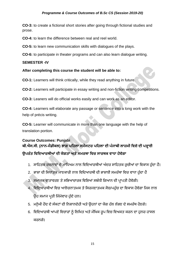**CO-3:** to create a fictional short stories after going through fictional studies and prose.

**CO-4:** to learn the difference between real and reel world.

**CO-5:** to learn new communication skills with dialogues of the plays.

**CO-6:** to participate in theater programs and can also learn dialogue writing.

#### **SEMESTER -IV**

#### **After completing this course the student will be able to:**

**CO-1:** Learners will think critically, while they read anything in future.

**CO-2:** Learners will participate in essay writing and non-fiction writing competitions.

**CO-3:** Leaners will do official works easily and can work as an editor.

**CO-4:** Learners will elaborate any passage or sentence into a long work with the help of précis writing.

**CO-5:** Learner will communicate in more than one language with the help of translation portion.

## **Course Outcomes: Punjabi ਬੀ.ਐਸ.ਸੀ. (ਨਾਨ-ਮੈਡੀਕਲ) ਭਾਗ ਪਹਿਲਾ ਸਮੈਸਟਰ ਪਹਿਲਾ ਦੀ ਪੰ ਜਾਬੀ ਲਾਜ਼ਮੀ ਹਿਸ਼ੇਦੀ ਪੜ੍ਹਾਈ ਉਪਰੰ ਤ ਹਿਹਦਆਰਥੀਆਂਦੀ ਯੋਗਤਾ ਅਤੇਸਮਰਥਾ ਹਿਚ ਸਾਰਥਕ ਿਾਧਾ ਿੋਿੇਗਾ**

- 1. ਸਾਹਿਤਕ ਰਚਨਾਵਾਂ ਦੇ ਮਾਧਿਅਮ ਨਾਲ ਵਿਦਿਆਰਥੀਆਂ ਅੰਦਰ ਸਾਹਿਤਕ ਰਚੀਆਂ ਦਾ ਵਿਕਾਸ ਹੰਦਾ ਹੈ।
- 2. ਭਾਸ਼ਾ ਦੀ ਸਿਧਾਂਤਕ ਜਾਣਕਾਰੀ ਨਾਲ ਵਿਦਿਆਰਥੀ ਦੀ ਭਾਸ਼ਾਈ ਸਮਰੱਥਾ ਵਿਚ ਵਾਧਾ ਹੁੰਦਾ ਹੈ
- 3. ਸਮਾਜਕ ਵਾਤਾਵਰਣ ਤੇ ਸਭਿਆਚਾਰਕ ਵਿਸ਼ਿਆਂ ਸਬੰਧੀ ਗਿਆਨ ਦੀ ਪ੍ਰਾਪਤੀ ਹੋਵੇਗੀ।
- 4. ਵਿਦਿਆਰਥੀਆਂ ਵਿਚ ਆਲੋਚਨਾਤਮਕ ਤੇ ਸਿਰਜਣਾਤਮਕ ਸੋਚ/ਪਹੰਚ ਦਾ ਵਿਕਾਸ ਹੋਵੇਗਾ ਜਿਸ ਨਾਲ ਉਹ ਸਮਾਜ ਪ੍ਰਤੀ ਜਿੰਮੇਵਾਰ ਹੁੰਦੇ ਹਨ।
- 5. ਮਨੁੱਖੀ ਹੋਂਦ ਦੇ ਸੰਕਟਾਂ ਦੀ ਨਿਸ਼ਾਨਦੇਹੀ ਅਤੇ ਉਹਨਾਂ ਦਾ ਯੋਗ ਹੱਲ ਲੱਭਣ ਦੇ ਸਮਰੱਥ ਹੋਣਗੇ।
- 6. ਵਿਦਿਆਰਥੀ ਆਪਣੇ ਵਿਚਾਰਾਂ ਨੂੰ ਲਿਖਿਤ ਅਤੇ ਮੌਖਿਕ ਰੂਪ ਵਿਚ ਵਿਅਕਤ ਕਰਨ ਦਾ ਹੁਨਰ ਹਾਸਲ ਕਰਨਗੇ।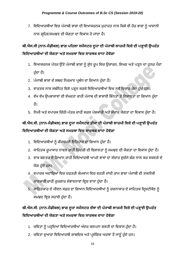7. ਵਿਦਿਆਰਥੀਆਂ ਵਿਚ ਪੰਜਾਬੀ ਭਾਸ਼ਾ ਦੀ ਵਿਆਕਰਨਕ ਮੁਹਾਰਤ ਨਾਲ ਕਿਸੇ ਵੀ ਹੋਰ ਭਾਸ਼ਾ ਨੂੰ ਆਸਾਨੀ ਨਾਲ ਗ੍ਰਹਿਣ/ਸਮਝਣ ਦੀ ਯੋਗਤਾ ਦਾ ਵਿਕਾਸ ਹੋ ਜਾਂਦਾ ਹੈ।

## **ਬੀ.ਐਸ.ਸੀ (ਨਾਨ-ਮੈਡੀਕਲ) ਭਾਗ ਪਹਿਲਾ ਸਮੈਸਟਰ ਦੂਜਾ ਦੀ ਪੰ ਜਾਬੀ ਲਾਜ਼ਮੀ ਹਿਸ਼ੇਦੀ ਪੜ੍ਹਾਈ ਉਪਰੰ ਤ ਹਿਹਦਆਰਥੀਆਂਦੀ ਯੋਗਤਾ ਅਤੇਸਮਰਥਾ ਹਿਚ ਸਾਰਥਕ ਿਾਧਾ ਿੋਿੇਗਾ**

- 1. ਵਿਆਕਰਨਕ ਪੱਧਰ ਉੱਤੇ ਪੰਜਾਬੀ ਭਾਸ਼ਾ ਨੂੰ ਸ਼ੁੱਧ ਰੂਪ ਵਿਚ ਉਚਾਰਨ, ਲਿਖਣ ਅਤੇ ਪੜ੍ਹਨ ਦਾ ਹੁਨਰ ਪੈਦਾ ਹੁੰਦਾ ਹੈ।
- 2. ਪੰਜਾਬੀ ਭਾਸ਼ਾ ਦੇ ਸ਼ਬਦ ਨਿਰਮਾਣ ਪ੍ਰਬੰਧ ਦਾ ਗਿਆਨ ਹੁੰਦਾ ਹੈ।
- 3. ਵਾਰਤਕ ਨਾਲ ਸਬੰਧਿਤ ਵਿਸ਼ੇ ਪੜ੍ਹਨ ਕਰਕੇ ਵਿਦਿਆਰਥੀਆਂ ਵਿਚ ਨਵੇਂ ਵਿਚਾਰ ਪੈਦਾ ਹੁੰਦੇ ਹਨ।
- 4. ਵੱਖ ਵੱਖ ਉਪਭਾਸ਼ਾਵਾਂ ਦੀ ਵੱਖਰਤਾ ਰਾਹੀਂ ਪੰਜਾਬ ਦੀ ਭਾਸ਼ਾਈ ਭਿੰਨਤਾ ਤੇ ਵਿਸ਼ਾਲਤਾ ਦਾ ਗਿਆਨ ਹੁੰਦਾ ਿੈ।
- 5. ਨਿਜੀ ਅਤੇ ਵਪਾਰਕ ਚਿੱਠੀ-ਪੱਤਰ ਰਾਹੀਂ ਸਰਲ ਪੇਸ਼ਕਾਰੀ ਅਤੇ ਸੰਚਾਰ ਯੋਗਤਾ ਦਾ ਵਿਕਾਸ ਹੁੰਦਾ ਹੈ।

## **ਬੀ.ਐਸ.ਸੀ. (ਨਾਨ-ਮੈਡੀਕਲ) ਭਾਗ ਦੂਜਾ ਸਮੈਸਟਰ ਤੀਜਾ ਦੀ ਪੰ ਜਾਬੀ ਲਾਜ਼ਮੀ ਹਿਸ਼ੇਦੀ ਪੜ੍ਹਾਈ ਉਪਰੰ ਤ ਹਿਹਦਆਰਥੀਆਂਦੀ ਯੋਗਤਾ ਅਤੇਸਮਰਥਾ ਹਿਚ ਸਾਰਥਕ ਿਾਧਾ ਿੋਿੇਗਾ**

- 1. ਵਿਦਿਆਰਥੀਆਂ ਨੂੰ ਗੌਰਵਮਈ ਇਤਿਹਾਸ ਦਾ ਗਿਆਨ ਹੁੰਦਾ ਹੈ।
- 2. ਸਾਹਿਤਕ ਰੁਪਾਕਾਰ ਨਾਵਲ ਰਾਹੀਂ ਜ਼ਿੰਦਗੀ ਦੀ ਵਿਸ਼ਾਲਤਾ ਨੂੰ ਸਮਝਣ ਦੀ ਯੋਗਤਾ ਦਾ ਵਿਕਾਸ ਹੁੰਦਾ ਹੈ।
- 3. ਵਾਕ ਬਣਤਰ ਦੇ ਗਿਆਨ ਰਾਹੀਂ ਵਿਦਿਆਰਥੀ ਆਪਣੇ ਭਾਵਾਂ ਦਾ ਸੰਚਾਰ ਸਚੱਜੇ ਢੰਗ ਨਾਲ ਕਰ ਸਕਣਗੇ ਦੇ ਯੋਗ ਹੁੰਦੇ ਹਨ।
- 4. ਵਪਾਰਕ ਅਦਾਰਿਆਂ ਵਿਚ ਦਫ਼ਤਰੀ ਕੰਮਕਾਜ ਵਿਚ ਵਰਤੀ ਜਾਂਦੀ ਰਾਜ ਭਾਸ਼ਾ ਪੰਜਾਬੀ ਦੀ ਤਕਨੀਕੀ ਜਾਣਕਾਰੀ ਰਾਹੀਂ ਰੁਜ਼ਗਾਰ ਸੰਭਾਵਨਾਵਾਂ ਵਿਚ ਵਾਧਾ ਹੁੰਦਾ ਹੈ।
- 5. ਸਾਹਿਤਕਾਰ ਦੇ ਜੀਵਨ ਸਫ਼ਰ ਦਾ ਗਿਆਨ ਵਿਦਿਆਰਥੀਆਂ ਨੂੰ ਰਚਨਾਕਾਰ ਦੇ ਸਾਹਿਤਕ ਦ੍ਰਿਸ਼ਟੀਕੋਣ ਨੂੰ ਸਮਝਣ ਵਿਚ ਸਹਾਈ ਹੁੰਦਾ ਹੈ।

## **ਬੀ.ਐਸ.ਸੀ. (ਨਾਨ-ਮੈਡੀਕਲ) ਭਾਗ ਦੂਜਾ ਸਮੈਸਟਰ ਚੌਥਾ ਦੀ ਪੰ ਜਾਬੀ ਲਾਜ਼ਮੀ ਹਿਸ਼ੇਦੀ ਪੜ੍ਹਾਈ ਉਪਰੰ ਤ ਹਿਹਦਆਰਥੀਆਂਦੀ ਯੋਗਤਾ ਅਤੇਸਮਰਥਾ ਹਿਚ ਸਾਰਥਕ ਿਾਧਾ ਿੋਿੇਗਾ**

- 1. ਕਵਿਤਾ ਨੂੰ ਪੜ੍ਹਦਿਆਂ ਵਿਦਿਆਰਥੀਆਂ ਅੰਦਰ ਕਲਪਨਾ ਸ਼ਕਤੀ ਦਾ ਵਿਕਾਸ ਹੁੰਦਾ ਹੈ।
- 2. ਕਵਿਤਾ ਦੁਆਰਾ ਵਿਦਿਆਰਥੀ ਸ਼ਾਬਦਿਕ ਅਤੇ ਪ੍ਰਸੰਗਿਕ ਅਰਥਾਂ ਤੋਂ ਜਾਣੂੰ ਹੁੰਦੇ ਹਨ।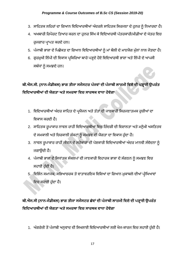- 3. ਸਾਹਿਤਕ ਲਹਿਰਾਂ ਦਾ ਗਿਆਨ ਵਿਦਿਆਰਥੀਆਂ ਅੰਦਰਲੇ ਸਾਹਿਤਕ ਸਿਰਜਣਾ ਦੇ ਹੁਨਰ ਨੂੰ ਨਿਖਾਰਦਾ ਹੈ।
- 4. ਅਖਬਾਰੀ ਰਿਪੋਰਟ ਤਿਆਰ ਕਰਨ ਦਾ ਹੁਨਰ ਸਿੱਖ ਕੇ ਵਿਦਿਆਰਥੀ ਪੱਤਰਕਾਰੀ/ਮੀਡੀਆ ਦੇ ਖੇਤਰ ਵਿਚ ਰਜਗਾਰ ਪਾਪਤ ਕਰਦੇ ਹਨ।
- 5. ਪੰਜਾਬੀ ਭਾਸ਼ਾ ਦੇ ਪਿਛੋਕੜ ਦਾ ਗਿਆਨ ਵਿਦਿਆਰਥੀਆਂ ਨੂੰ ਮਾਂ ਬੋਲੀ ਦੇ ਮਾਣਯੋਗ ਮੁੱਲਾਂ ਨਾਲ ਜੋੜਦਾ ਹੈ।
- 6. ਗੁਰਮੁਖੀ ਲਿੱਪੀ ਦੀ ਵਿਕਾਸ ਪ੍ਰਕਿਰਿਆ ਬਾਰੇ ਪੜ੍ਹਦੇ ਹੋਏ ਵਿਦਿਆਰਥੀ ਭਾਸ਼ਾ ਅਤੇ ਲਿੱਪੀ ਦੇ ਆਪਸੀ ਸਬੰਧਾਂ ਨੂੰ ਸਮਝਦੇ ਹਨ।

ਬੀ.ਐਸ.ਸੀ. (ਨਾਨ-ਮੈਡੀਕਲ) ਭਾਗ ਤੀਜਾ ਸਮੈਸਟਰ ਪੰਜਵਾਂ ਦੀ ਪੰਜਾਬੀ ਲਾਜ਼ਮੀ ਵਿਸ਼ੇ ਦੀ ਪੜ੍ਹਾਈ ਉਪਰੰਤ **ਹਿਹਦਆਰਥੀਆਂਦੀ ਯੋਗਤਾ ਅਤੇਸਮਰਥਾ ਹਿਚ ਸਾਰਥਕ ਿਾਧਾ ਿੋਿੇਗਾ**

- 1. ਵਿਦਿਆਰਥੀਆਂ ਅੰਦਰ ਸਾਹਿਤ ਦੇ ਪ੍ਰਯੋਜਨ ਅਤੇ ਤੱਤਾਂ ਦੀ ਜਾਣਕਾਰੀ ਸਿਰਜਣਾਤਮਕ ਰੁਚੀਆਂ ਦਾ ਵਿਕਾਸ ਕਰਦੀ ਹੈ।
- 2. ਸਾਹਿਤਕ ਰੁਪਾਕਾਰ ਨਾਵਲ ਰਾਹੀਂ ਵਿਦਿਆਰਥੀਆਂ ਵਿਚ ਜ਼ਿੰਦਗੀ ਦੀ ਵਿਸ਼ਾਲਤਾ ਅਤੇ ਮਨੁੱਖੀ ਅਸਤਿਤਵ ਦੇ ਸਮਕਾਲੀ ਅਤੇ ਚਿਰਕਾਲੀ ਸੰਕਟਾਂ ਨੂੰ ਸਮਝਣ ਦੀ ਯੋਗਤਾ ਦਾ ਵਿਕਾਸ ਹੁੰਦਾ ਹੈ।
- 3. ਨਾਵਲ ਰੂਪਾਕਾਰ ਰਾਹੀਂ ਜੀਵਨ ਦੇ ਸਰੋਕਾਰਾਂ ਦੀ ਪੇਸ਼ਕਾਰੀ ਵਿਦਿਆਰਥੀਆਂ ਅੰਦਰ ਮਾਨਵੀ ਸੰਵੇਦਨਾ ਨੂੰ ਜਿਾਉਂਦੀ ਿੈ।
- 4. ਪੰਜਾਬੀ ਭਾਸ਼ਾ ਦੇ ਸਿਧਾਂਤਕ ਸੰਕਲਪਾਂ ਦੀ ਜਾਣਕਾਰੀ ਵਿਹਾਰਕ ਭਾਸ਼ਾ ਦੇ ਸੰਗਠਨ ਨੂੰ ਸਮਝਣ ਵਿਚ ਸਹਾਈ ਹੰਦੀ ਹੈ।
- 5. ਵਿਭਿੰਨ ਸਮਾਜਕ, ਸਭਿਆਚਰਕ ਤੇ ਵਾਤਾਵਰਣਿਕ ਵਿਸ਼ਿਆਂ ਦਾ ਗਿਆਨ ਮੁਕਾਬਲੇ ਦੀਆਂ ਪ੍ਰੀਖਿਆਵਾਂ ਵਿਚ ਸਹਾਈ ਹੁੰਦਾ ਹੈ।

## **ਬੀ.ਐਸ.ਸੀ (ਨਾਨ-ਮੈਡੀਕਲ) ਭਾਗ ਤੀਜਾ ਸਮੈਸਟਰ ਛੇਿਾਂ ਦੀ ਪੰ ਜਾਬੀ ਲਾਜ਼ਮੀ ਹਿਸ਼ੇਦੀ ਪੜ੍ਹਾਈ ਉਪਰੰ ਤ ਹਿਹਦਆਰਥੀਆਂਦੀ ਯੋਗਤਾ ਅਤੇਸਮਰਥਾ ਹਿਚ ਸਾਰਥਕ ਿਾਧਾ ਿੋਿੇਗਾ**

1. ਅੰਗਰੇਜ਼ੀ ਤੋਂ ਪੰਜਾਬੀ ਅਨੁਵਾਦ ਦੀ ਸਿਖਲਾਈ ਵਿਦਿਆਰਥੀਆਂ ਲਈ ਖੋਜ-ਕਾਰਜ ਵਿਚ ਸਹਾਈ ਹੁੰਦੀ ਹੈ।